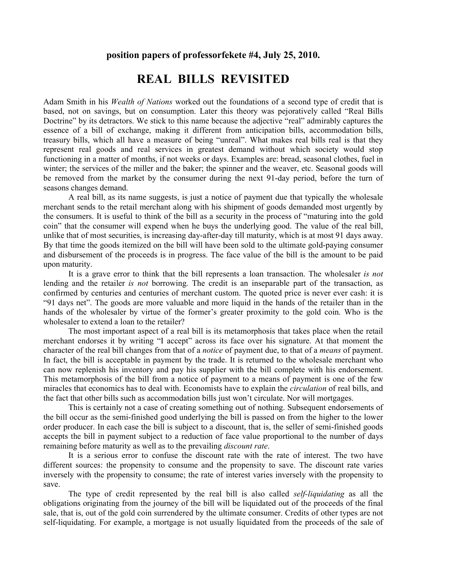## **position papers of professorfekete #4, July 25, 2010.**

## **REAL BILLS REVISITED**

Adam Smith in his *Wealth of Nations* worked out the foundations of a second type of credit that is based, not on savings, but on consumption. Later this theory was pejoratively called "Real Bills Doctrine" by its detractors. We stick to this name because the adjective "real" admirably captures the essence of a bill of exchange, making it different from anticipation bills, accommodation bills, treasury bills, which all have a measure of being "unreal". What makes real bills real is that they represent real goods and real services in greatest demand without which society would stop functioning in a matter of months, if not weeks or days. Examples are: bread, seasonal clothes, fuel in winter; the services of the miller and the baker; the spinner and the weaver, etc. Seasonal goods will be removed from the market by the consumer during the next 91-day period, before the turn of seasons changes demand.

A real bill, as its name suggests, is just a notice of payment due that typically the wholesale merchant sends to the retail merchant along with his shipment of goods demanded most urgently by the consumers. It is useful to think of the bill as a security in the process of "maturing into the gold coin" that the consumer will expend when he buys the underlying good. The value of the real bill, unlike that of most securities, is increasing day-after-day till maturity, which is at most 91 days away. By that time the goods itemized on the bill will have been sold to the ultimate gold-paying consumer and disbursement of the proceeds is in progress. The face value of the bill is the amount to be paid upon maturity.

 It is a grave error to think that the bill represents a loan transaction. The wholesaler *is not*  lending and the retailer *is not* borrowing. The credit is an inseparable part of the transaction, as confirmed by centuries and centuries of merchant custom. The quoted price is never ever cash: it is "91 days net". The goods are more valuable and more liquid in the hands of the retailer than in the hands of the wholesaler by virtue of the former's greater proximity to the gold coin. Who is the wholesaler to extend a loan to the retailer?

 The most important aspect of a real bill is its metamorphosis that takes place when the retail merchant endorses it by writing "I accept" across its face over his signature. At that moment the character of the real bill changes from that of a *notice* of payment due, to that of a *means* of payment. In fact, the bill is acceptable in payment by the trade. It is returned to the wholesale merchant who can now replenish his inventory and pay his supplier with the bill complete with his endorsement. This metamorphosis of the bill from a notice of payment to a means of payment is one of the few miracles that economics has to deal with. Economists have to explain the *circulation* of real bills, and the fact that other bills such as accommodation bills just won't circulate. Nor will mortgages.

 This is certainly not a case of creating something out of nothing. Subsequent endorsements of the bill occur as the semi-finished good underlying the bill is passed on from the higher to the lower order producer. In each case the bill is subject to a discount, that is, the seller of semi-finished goods accepts the bill in payment subject to a reduction of face value proportional to the number of days remaining before maturity as well as to the prevailing *discount rate*.

 It is a serious error to confuse the discount rate with the rate of interest. The two have different sources: the propensity to consume and the propensity to save. The discount rate varies inversely with the propensity to consume; the rate of interest varies inversely with the propensity to save.

 The type of credit represented by the real bill is also called *self-liquidating* as all the obligations originating from the journey of the bill will be liquidated out of the proceeds of the final sale, that is, out of the gold coin surrendered by the ultimate consumer. Credits of other types are not self-liquidating. For example, a mortgage is not usually liquidated from the proceeds of the sale of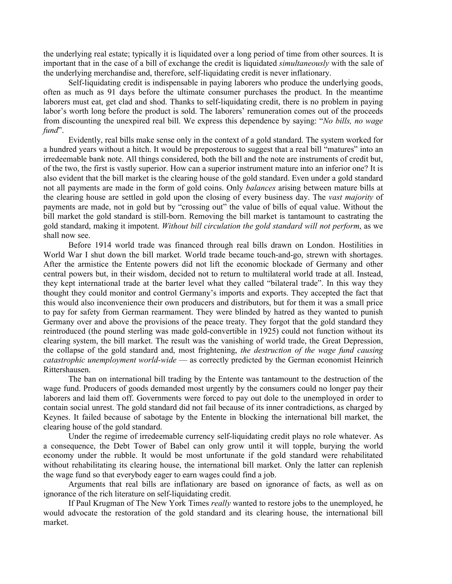the underlying real estate; typically it is liquidated over a long period of time from other sources. It is important that in the case of a bill of exchange the credit is liquidated *simultaneously* with the sale of the underlying merchandise and, therefore, self-liquidating credit is never inflationary.

 Self-liquidating credit is indispensable in paying laborers who produce the underlying goods, often as much as 91 days before the ultimate consumer purchases the product. In the meantime laborers must eat, get clad and shod. Thanks to self-liquidating credit, there is no problem in paying labor's worth long before the product is sold. The laborers' remuneration comes out of the proceeds from discounting the unexpired real bill. We express this dependence by saying: "*No bills, no wage fund*".

 Evidently, real bills make sense only in the context of a gold standard. The system worked for a hundred years without a hitch. It would be preposterous to suggest that a real bill "matures" into an irredeemable bank note. All things considered, both the bill and the note are instruments of credit but, of the two, the first is vastly superior. How can a superior instrument mature into an inferior one? It is also evident that the bill market is the clearing house of the gold standard. Even under a gold standard not all payments are made in the form of gold coins. Only *balances* arising between mature bills at the clearing house are settled in gold upon the closing of every business day. The *vast majority* of payments are made, not in gold but by "crossing out" the value of bills of equal value. Without the bill market the gold standard is still-born. Removing the bill market is tantamount to castrating the gold standard, making it impotent. *Without bill circulation the gold standard will not perform*, as we shall now see.

 Before 1914 world trade was financed through real bills drawn on London. Hostilities in World War I shut down the bill market. World trade became touch-and-go, strewn with shortages. After the armistice the Entente powers did not lift the economic blockade of Germany and other central powers but, in their wisdom, decided not to return to multilateral world trade at all. Instead, they kept international trade at the barter level what they called "bilateral trade". In this way they thought they could monitor and control Germany's imports and exports. They accepted the fact that this would also inconvenience their own producers and distributors, but for them it was a small price to pay for safety from German rearmament. They were blinded by hatred as they wanted to punish Germany over and above the provisions of the peace treaty. They forgot that the gold standard they reintroduced (the pound sterling was made gold-convertible in 1925) could not function without its clearing system, the bill market. The result was the vanishing of world trade, the Great Depression, the collapse of the gold standard and, most frightening, *the destruction of the wage fund causing catastrophic unemployment world-wide* — as correctly predicted by the German economist Heinrich Rittershausen.

 The ban on international bill trading by the Entente was tantamount to the destruction of the wage fund. Producers of goods demanded most urgently by the consumers could no longer pay their laborers and laid them off. Governments were forced to pay out dole to the unemployed in order to contain social unrest. The gold standard did not fail because of its inner contradictions, as charged by Keynes. It failed because of sabotage by the Entente in blocking the international bill market, the clearing house of the gold standard.

 Under the regime of irredeemable currency self-liquidating credit plays no role whatever. As a consequence, the Debt Tower of Babel can only grow until it will topple, burying the world economy under the rubble. It would be most unfortunate if the gold standard were rehabilitated without rehabilitating its clearing house, the international bill market. Only the latter can replenish the wage fund so that everybody eager to earn wages could find a job.

 Arguments that real bills are inflationary are based on ignorance of facts, as well as on ignorance of the rich literature on self-liquidating credit.

 If Paul Krugman of The New York Times *really* wanted to restore jobs to the unemployed, he would advocate the restoration of the gold standard and its clearing house, the international bill market.